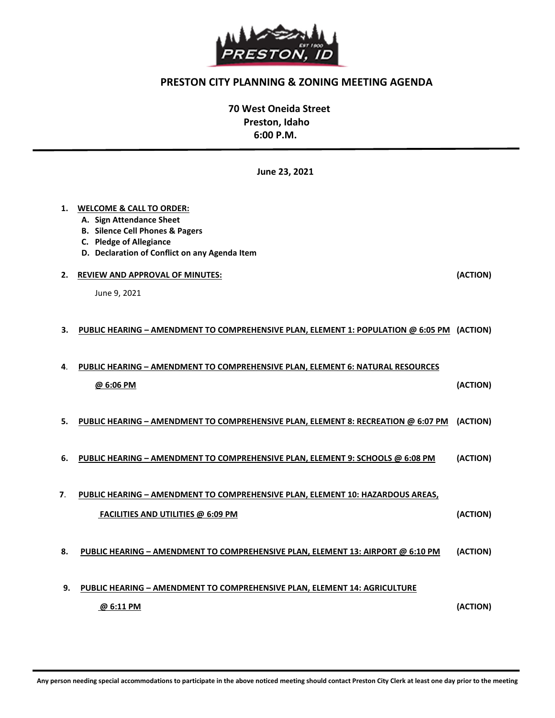

## PRESTON CITY PLANNING & ZONING MEETING AGENDA

 70 West Oneida Street Preston, Idaho 6:00 P.M.

June 23, 2021

#### 1. WELCOME & CALL TO ORDER:

- A. Sign Attendance Sheet
- B. Silence Cell Phones & Pagers
- C. Pledge of Allegiance
- D. Declaration of Conflict on any Agenda Item

#### 2. REVIEW AND APPROVAL OF MINUTES: (ACTION)

June 9, 2021

1

#### 3. PUBLIC HEARING – AMENDMENT TO COMPREHENSIVE PLAN, ELEMENT 1: POPULATION @ 6:05 PM (ACTION)

# 4. PUBLIC HEARING – AMENDMENT TO COMPREHENSIVE PLAN, ELEMENT 6: NATURAL RESOURCES  $\omega$  6:06 PM  $\omega$

- 5. PUBLIC HEARING AMENDMENT TO COMPREHENSIVE PLAN, ELEMENT 8: RECREATION @ 6:07 PM (ACTION)
- 6. PUBLIC HEARING AMENDMENT TO COMPREHENSIVE PLAN, ELEMENT 9: SCHOOLS @ 6:08 PM (ACTION)

## 7. PUBLIC HEARING – AMENDMENT TO COMPREHENSIVE PLAN, ELEMENT 10: HAZARDOUS AREAS, FACILITIES AND UTILITIES @ 6:09 PM (ACTION)

#### 8. PUBLIC HEARING – AMENDMENT TO COMPREHENSIVE PLAN, ELEMENT 13: AIRPORT @ 6:10 PM (ACTION)

 9. PUBLIC HEARING – AMENDMENT TO COMPREHENSIVE PLAN, ELEMENT 14: AGRICULTURE  $\omega$  6:11 PM (ACTION)